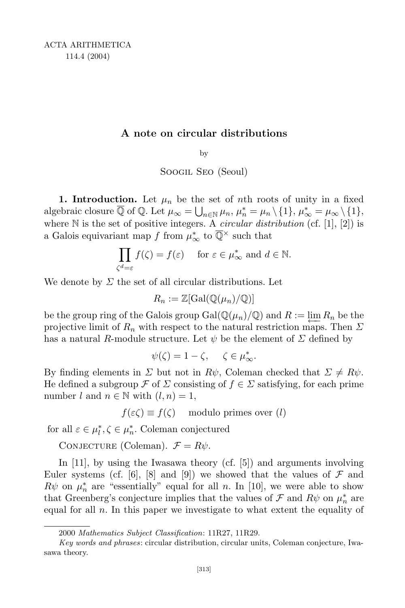## A note on circular distributions

by

Soogil Seo (Seoul)

1. Introduction. Let  $\mu_n$  be the set of nth roots of unity in a fixed algebraic closure  $\overline{\mathbb{Q}}$  of  $\mathbb{Q}$ . Let  $\mu_{\infty} = \bigcup_{n \in \mathbb{N}} \mu_n$ ,  $\mu_n^* = \mu_n \setminus \{1\}$ ,  $\mu_{\infty}^* = \mu_{\infty} \setminus \{1\}$ . where  $\mathbb N$  is the set of positive integers. A *circular distribution* (cf. [1], [2]) is a Galois equivariant map  $f$  from  $\mu^*_{\infty}$  to  $\mathbb{Q}^{\times}$  such that

$$
\prod_{\zeta^d=\varepsilon} f(\zeta) = f(\varepsilon) \quad \text{ for } \varepsilon \in \mu^*_{\infty} \text{ and } d \in \mathbb{N}.
$$

We denote by  $\Sigma$  the set of all circular distributions. Let

$$
R_n := \mathbb{Z}[\mathrm{Gal}(\mathbb{Q}(\mu_n)/\mathbb{Q})]
$$

be the group ring of the Galois group  $Gal(\mathbb{Q}(\mu_n)/\mathbb{Q})$  and  $R := \lim_{n \to \infty} R_n$  be the projective limit of  $R_n$  with respect to the natural restriction maps. Then  $\Sigma$ projective limit of  $R_n$  with respect to the natural restriction maps. Then  $\Sigma$ has a natural R-module structure. Let  $\psi$  be the element of  $\Sigma$  defined by

$$
\psi(\zeta) = 1 - \zeta, \quad \zeta \in \mu^*_{\infty}.
$$

By finding elements in  $\Sigma$  but not in  $R\psi$ , Coleman checked that  $\Sigma \neq R\psi$ . He defined a subgroup  $\mathcal F$  of  $\Sigma$  consisting of  $f \in \Sigma$  satisfying, for each prime number l and  $n \in \mathbb{N}$  with  $(l, n) = 1$ ,

 $f(\varepsilon \zeta) \equiv f(\zeta)$  modulo primes over (*l*)

for all  $\varepsilon \in \mu_l^*, \zeta \in \mu_n^*$ . Coleman conjectured

CONJECTURE (Coleman).  $\mathcal{F} = R\psi$ .

In [11], by using the Iwasawa theory (cf. [5]) and arguments involving Euler systems (cf. [6], [8] and [9]) we showed that the values of  $\mathcal F$  and  $R\psi$  on  $\mu_n^*$  are "essentially" equal for all n. In [10], we were able to show that Greenberg's conjecture implies that the values of  $\mathcal F$  and  $R\psi$  on  $\mu_n^*$  are equal for all  $n$ . In this paper we investigate to what extent the equality of

<sup>2000</sup> Mathematics Subject Classification: 11R27, 11R29.

Key words and phrases: circular distribution, circular units, Coleman conjecture, Iwasawa theory.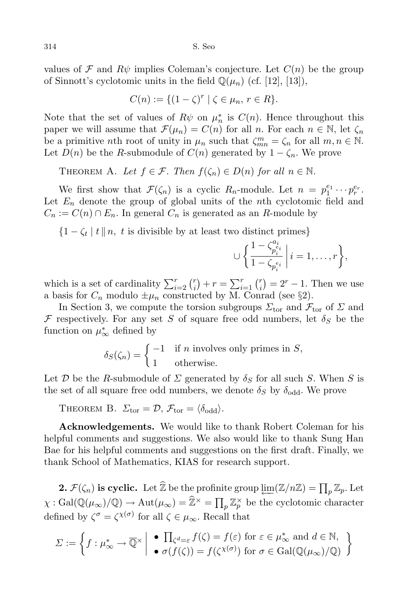values of F and  $R\psi$  implies Coleman's conjecture. Let  $C(n)$  be the group of Sinnott's cyclotomic units in the field  $\mathbb{Q}(\mu_n)$  (cf. [12], [13]),

$$
C(n) := \{(1-\zeta)^r \mid \zeta \in \mu_n, r \in R\}.
$$

Note that the set of values of  $R\psi$  on  $\mu_n^*$  is  $C(n)$ . Hence throughout this paper we will assume that  $\mathcal{F}(\mu_n) = C(n)$  for all n. For each  $n \in \mathbb{N}$ , let  $\zeta_n$ be a primitive *n*th root of unity in  $\mu_n$  such that  $\zeta_{mn}^m = \zeta_n$  for all  $m, n \in \mathbb{N}$ . Let  $D(n)$  be the R-submodule of  $C(n)$  generated by  $1 - \zeta_n$ . We prove

THEOREM A. Let  $f \in \mathcal{F}$ . Then  $f(\zeta_n) \in D(n)$  for all  $n \in \mathbb{N}$ .

We first show that  $\mathcal{F}(\zeta_n)$  is a cyclic  $R_n$ -module. Let  $n = p_1^{e_1} \cdots p_r^{e_r}$ . Let  $E_n$  denote the group of global units of the nth cyclotomic field and  $C_n := C(n) \cap E_n$ . In general  $C_n$  is generated as an R-module by

 $\{1 - \zeta_t \mid t \mid n, t \text{ is divisible by at least two distinct primes}\}$ 

$$
\cup \bigg\{\frac{1-\zeta_{p_i^{e_i}}^{a_i}}{1-\zeta_{p_i^{e_i}}}\,\bigg|\,i=1,\ldots,r\bigg\},
$$

which is a set of cardinality  $\sum_{i=2}^{r} {r \choose i}$  $r_i^r$  +  $r = \sum_{i=1}^r \binom{r_i}{i}$  $\binom{r}{i} = 2^r - 1$ . Then we use a basis for  $C_n$  modulo  $\pm \mu_n$  constructed by M. Conrad (see §2).

In Section 3, we compute the torsion subgroups  $\Sigma_{\text{tor}}$  and  $\mathcal{F}_{\text{tor}}$  of  $\Sigma$  and F respectively. For any set S of square free odd numbers, let  $\delta_S$  be the function on  $\mu^*_{\infty}$  defined by

$$
\delta_S(\zeta_n) = \begin{cases} -1 & \text{if } n \text{ involves only primes in } S, \\ 1 & \text{otherwise.} \end{cases}
$$

Let D be the R-submodule of  $\Sigma$  generated by  $\delta_S$  for all such S. When S is the set of all square free odd numbers, we denote  $\delta_S$  by  $\delta_{\text{odd}}$ . We prove

THEOREM B.  $\Sigma_{\text{tor}} = \mathcal{D}, \mathcal{F}_{\text{tor}} = \langle \delta_{\text{odd}} \rangle.$ 

Acknowledgements. We would like to thank Robert Coleman for his helpful comments and suggestions. We also would like to thank Sung Han Bae for his helpful comments and suggestions on the first draft. Finally, we thank School of Mathematics, KIAS for research support.

2.  $\mathcal{F}(\zeta_n)$  is cyclic. Let  $\widehat{\mathbb{Z}}$  be the profinite group  $\varprojlim(\mathbb{Z}/n\mathbb{Z}) = \prod_p \mathbb{Z}_p$ . Let  $\chi : \text{Gal}(\mathbb{Q}(\mu_\infty)/\mathbb{Q}) \to \text{Aut}(\mu_\infty) = \widehat{\mathbb{Z}}^\times = \prod_p \mathbb{Z}_p^\times$  be the cyclotomic character defined by  $\zeta^{\sigma} = \zeta^{\chi(\sigma)}$  for all  $\zeta \in \mu_{\infty}$ . Recall that

$$
\Sigma := \left\{ f : \mu_{\infty}^* \to \overline{\mathbb{Q}}^{\times} \middle| \begin{array}{c} \bullet \\ \bullet \ \overline{\Pi_{\zeta} d_{\epsilon}} \varepsilon \ f(\zeta) = f(\varepsilon) \text{ for } \varepsilon \in \mu_{\infty}^* \text{ and } d \in \mathbb{N}, \\ \bullet \ \sigma(f(\zeta)) = f(\zeta^{\chi(\sigma)}) \text{ for } \sigma \in \text{Gal}(\mathbb{Q}(\mu_{\infty})/\mathbb{Q}) \end{array} \right\}
$$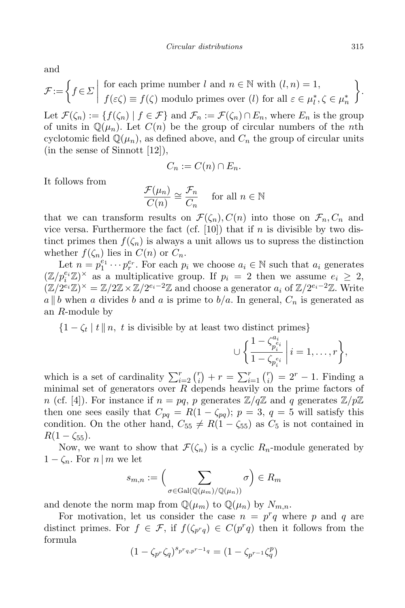and

$$
\mathcal{F} := \left\{ f \in \Sigma \middle| \begin{array}{c} \text{for each prime number } l \text{ and } n \in \mathbb{N} \text{ with } (l, n) = 1, \\ f(\varepsilon \zeta) \equiv f(\zeta) \text{ modulo primes over } (l) \text{ for all } \varepsilon \in \mu_l^*, \zeta \in \mu_n^* \end{array} \right\}.
$$

Let  $\mathcal{F}(\zeta_n) := \{f(\zeta_n) \mid f \in \mathcal{F}\}\$ and  $\mathcal{F}_n := \mathcal{F}(\zeta_n) \cap E_n$ , where  $E_n$  is the group of units in  $\mathbb{Q}(\mu_n)$ . Let  $C(n)$  be the group of circular numbers of the *n*th cyclotomic field  $\mathbb{Q}(\mu_n)$ , as defined above, and  $C_n$  the group of circular units (in the sense of Sinnott [12]),

$$
C_n := C(n) \cap E_n.
$$

It follows from

$$
\frac{\mathcal{F}(\mu_n)}{C(n)} \cong \frac{\mathcal{F}_n}{C_n} \quad \text{ for all } n \in \mathbb{N}
$$

that we can transform results on  $\mathcal{F}(\zeta_n), C(n)$  into those on  $\mathcal{F}_n, C_n$  and vice versa. Furthermore the fact (cf. [10]) that if n is divisible by two distinct primes then  $f(\zeta_n)$  is always a unit allows us to supress the distinction whether  $f(\zeta_n)$  lies in  $C(n)$  or  $C_n$ .

Let  $n = p_1^{e_1} \cdots p_r^{e_r}$ . For each  $p_i$  we choose  $a_i \in \mathbb{N}$  such that  $a_i$  generates  $(\mathbb{Z}/p_i^{e_i}\mathbb{Z})^{\times}$  as a multiplicative group. If  $p_i = 2$  then we assume  $e_i \geq 2$ ,  $(\mathbb{Z}/2^{e_i}\mathbb{Z})^{\times} = \mathbb{Z}/2\mathbb{Z} \times \mathbb{Z}/2^{e_i-2}\mathbb{Z}$  and choose a generator  $a_i$  of  $\mathbb{Z}/2^{e_i-2}\mathbb{Z}$ . Write  $a \parallel b$  when a divides b and a is prime to  $b/a$ . In general,  $C_n$  is generated as an R-module by

 $\{1 - \zeta_t \mid t \mid n, t \text{ is divisible by at least two distinct primes}\}$ 

$$
\cup \bigg\{\frac{1-\zeta_{p_i^{e_i}}^{a_i}}{1-\zeta_{p_i^{e_i}}}\,\bigg|\,i=1,\ldots,r\bigg\},
$$

which is a set of cardinality  $\sum_{i=2}^{r} {r \choose i}$  $\binom{r}{i} + r = \sum_{i=1}^{r} \binom{r}{i}$  $\binom{r}{i} = 2^r - 1$ . Finding a minimal set of generators over  $R$  depends heavily on the prime factors of n (cf. [4]). For instance if  $n = pq$ , p generates  $\mathbb{Z}/q\mathbb{Z}$  and q generates  $\mathbb{Z}/p\mathbb{Z}$ then one sees easily that  $C_{pq} = R(1 - \zeta_{pq}); p = 3, q = 5$  will satisfy this condition. On the other hand,  $C_{55} \neq R(1 - \zeta_{55})$  as  $C_5$  is not contained in  $R(1 - \zeta_{55}).$ 

Now, we want to show that  $\mathcal{F}(\zeta_n)$  is a cyclic  $R_n$ -module generated by  $1 - \zeta_n$ . For  $n \mid m$  we let

$$
s_{m,n} := \left(\sum_{\sigma \in \text{Gal}(\mathbb{Q}(\mu_m)/\mathbb{Q}(\mu_n))} \sigma\right) \in R_m
$$

and denote the norm map from  $\mathbb{Q}(\mu_m)$  to  $\mathbb{Q}(\mu_n)$  by  $N_{m,n}$ .

For motivation, let us consider the case  $n = p^r q$  where p and q are distinct primes. For  $f \in \mathcal{F}$ , if  $f(\zeta_{p^r q}) \in C(p^r q)$  then it follows from the formula

$$
(1-\zeta_{p^r}\zeta_q)^{s_{p^rq,p^{r-1}q}}=(1-\zeta_{p^{r-1}}\zeta_q^p)
$$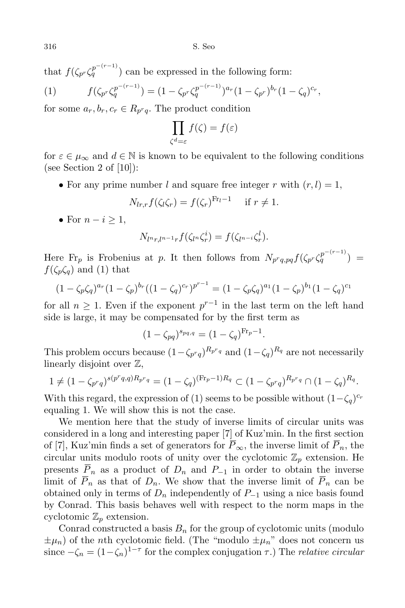that  $f(\zeta_{p^r}\zeta_q^{p^{-(r-1)}})$  can be expressed in the following form:

(1) 
$$
f(\zeta_{p^r}\zeta_q^{p^{-(r-1)}}) = (1 - \zeta_{p^r}\zeta_q^{p^{-(r-1)}})^{a_r}(1 - \zeta_{p^r})^{b_r}(1 - \zeta_q)^{c_r},
$$

for some  $a_r, b_r, c_r \in R_{p^r q}$ . The product condition

$$
\prod_{\zeta^d=\varepsilon} f(\zeta) = f(\varepsilon)
$$

for  $\varepsilon \in \mu_{\infty}$  and  $d \in \mathbb{N}$  is known to be equivalent to the following conditions (see Section 2 of  $[10]$ ):

• For any prime number l and square free integer r with  $(r, l) = 1$ ,

$$
N_{lr,r}f(\zeta_l\zeta_r)=f(\zeta_r)^{\operatorname{Fr}_l-1} \quad \text{ if } r\neq 1.
$$

• For  $n-i \geq 1$ ,

$$
N_{l^{n}r,l^{n-1}r}f(\zeta_{l^{n}}\zeta_{r}^{i})=f(\zeta_{l^{n-i}}\zeta_{r}^{l}).
$$

Here Fr<sub>p</sub> is Frobenius at p. It then follows from  $N_{p^r q, pq} f(\zeta_{p^r} \zeta_q^{p^{-(r-1)}})$  $f(\zeta_p \zeta_q)$  and (1) that

$$
(1 - \zeta_p \zeta_q)^{a_r} (1 - \zeta_p)^{b_r} ((1 - \zeta_q)^{c_r})^{p^{r-1}} = (1 - \zeta_p \zeta_q)^{a_1} (1 - \zeta_p)^{b_1} (1 - \zeta_q)^{c_1}
$$

for all  $n \geq 1$ . Even if the exponent  $p^{r-1}$  in the last term on the left hand side is large, it may be compensated for by the first term as

 $(1 - \zeta_{pq})^{s_{pq,q}} = (1 - \zeta_q)^{\text{Fr}_p - 1}.$ 

This problem occurs because  $(1 - \zeta_{p^r q})^{R_{p^r q}}$  and  $(1 - \zeta_q)^{R_q}$  are not necessarily linearly disjoint over Z,

$$
1 \neq (1 - \zeta_{p^r q})^{s(p^r q, q) R_{p^r q}} = (1 - \zeta_q)^{(\text{Fr}_p - 1) R_q} \subset (1 - \zeta_{p^r q})^{R_{p^r q}} \cap (1 - \zeta_q)^{R_q}.
$$

With this regard, the expression of (1) seems to be possible without  $(1-\zeta_q)^{c_r}$ equaling 1. We will show this is not the case.

We mention here that the study of inverse limits of circular units was considered in a long and interesting paper [7] of Kuz'min. In the first section of [7], Kuz'min finds a set of generators for  $\overline{P}_{\infty}$ , the inverse limit of  $\overline{P}_n$ , the circular units modulo roots of unity over the cyclotomic  $\mathbb{Z}_p$  extension. He presents  $\overline{P}_n$  as a product of  $D_n$  and  $P_{-1}$  in order to obtain the inverse limit of  $\overline{P}_n$  as that of  $D_n$ . We show that the inverse limit of  $\overline{P}_n$  can be obtained only in terms of  $D_n$  independently of  $P_{-1}$  using a nice basis found by Conrad. This basis behaves well with respect to the norm maps in the cyclotomic  $\mathbb{Z}_p$  extension.

Conrad constructed a basis  $B_n$  for the group of cyclotomic units (modulo  $\pm \mu_n$ ) of the *n*th cyclotomic field. (The "modulo  $\pm \mu_n$ " does not concern us since  $-\zeta_n = (1 - \zeta_n)^{1-\tau}$  for the complex conjugation  $\tau$ .) The *relative circular*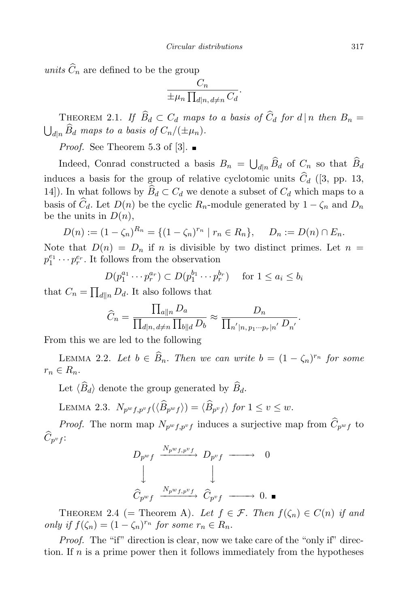units  $\widehat{C}_n$  are defined to be the group

$$
\frac{C_n}{\pm \mu_n \prod_{d|n, d \neq n} C_d}.
$$

THEOREM 2.1. If  $B_d \subset C_d$  maps to a basis of  $C_d$  for  $d | n$  then  $B_n = \bigsqcup_{d \mid n} \widehat{B}_d$  maps to a basis of  $C_n/(\pm \mu_n)$ .  $_{d|n}$   $B_d$  maps to a basis of  $C_n/(\pm \mu_n)$ .

*Proof.* See Theorem 5.3 of [3].  $\blacksquare$ 

Indeed, Conrad constructed a basis  $B_n = \bigcup_{d|n} \widehat{B}_d$  of  $C_n$  so that  $\widehat{B}_d$ induces a basis for the group of relative cyclotomic units  $C_d$  ([3, pp. 13, 14]). In what follows by  $B_d \subset C_d$  we denote a subset of  $C_d$  which maps to a basis of  $C_d$ . Let  $D(n)$  be the cyclic  $R_n$ -module generated by  $1 - \zeta_n$  and  $D_n$ be the units in  $D(n)$ ,

$$
D(n) := (1 - \zeta_n)^{R_n} = \{(1 - \zeta_n)^{r_n} \mid r_n \in R_n\}, \quad D_n := D(n) \cap E_n.
$$

Note that  $D(n) = D_n$  if n is divisible by two distinct primes. Let  $n =$  $p_1^{e_1} \cdots p_r^{e_r}$ . It follows from the observation

$$
D(p_1^{a_1} \cdots p_r^{a_r}) \subset D(p_1^{b_1} \cdots p_r^{b_r}) \quad \text{ for } 1 \le a_i \le b_i
$$

that  $C_n = \prod_{d||n} D_d$ . It also follows that

$$
\widehat{C}_n = \frac{\prod_{a||n} D_a}{\prod_{d|n, d \neq n} \prod_{b||d} D_b} \approx \frac{D_n}{\prod_{n'|n, p_1 \cdots p_r|n'} D_{n'}}.
$$

From this we are led to the following

LEMMA 2.2. Let  $b \in \widehat{B}_n$ . Then we can write  $b = (1 - \zeta_n)^{r_n}$  for some  $r_n \in R_n$ .

Let  $\langle B_d \rangle$  denote the group generated by  $B_d$ .

LEMMA 2.3.  $N_{p^wf, p^vf}(\langle B_{p^wf} \rangle) = \langle B_{p^vf} \rangle$  for  $1 \le v \le w$ .

*Proof.* The norm map  $N_{p^w f, p^v f}$  induces a surjective map from  $C_{p^w f}$  to  $C_{p^vf}\colon$ 

$$
D_{p^{w} f} \xrightarrow{N_{p^{w} f, p^{v} f}} D_{p^{v} f} \longrightarrow 0
$$
  
\n
$$
\downarrow \qquad \qquad \downarrow
$$
  
\n
$$
\widehat{C}_{p^{w} f} \xrightarrow{N_{p^{w} f, p^{v} f}} \widehat{C}_{p^{v} f} \longrightarrow 0.
$$

THEOREM 2.4 (= Theorem A). Let  $f \in \mathcal{F}$ . Then  $f(\zeta_n) \in C(n)$  if and only if  $f(\zeta_n) = (1 - \zeta_n)^{r_n}$  for some  $r_n \in R_n$ .

Proof. The "if" direction is clear, now we take care of the "only if" direction. If  $n$  is a prime power then it follows immediately from the hypotheses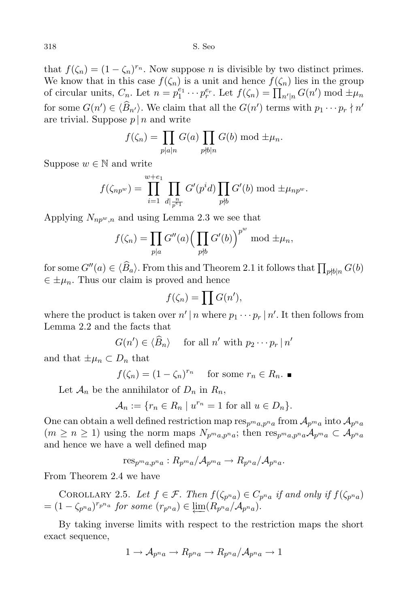that  $f(\zeta_n) = (1 - \zeta_n)^{r_n}$ . Now suppose *n* is divisible by two distinct primes. We know that in this case  $f(\zeta_n)$  is a unit and hence  $f(\zeta_n)$  lies in the group of circular units,  $C_n$ . Let  $n = p_1^{e_1} \cdots p_r^{e_r}$ . Let  $f(\zeta_n) = \prod_{n'|n} G(n') \mod \pm \mu_n$ for some  $G(n') \in \langle B_{n'} \rangle$ . We claim that all the  $G(n')$  terms with  $p_1 \cdots p_r \nmid n'$ are trivial. Suppose  $p \mid n$  and write

$$
f(\zeta_n) = \prod_{p \mid a \mid n} G(a) \prod_{p \nmid b \mid n} G(b) \bmod \pm \mu_n.
$$

Suppose  $w \in \mathbb{N}$  and write

$$
f(\zeta_{np^w}) = \prod_{i=1}^{w+e_1} \prod_{d|\frac{n}{p^{e_1}}} G'(p^i d) \prod_{p \nmid b} G'(b) \bmod \pm \mu_{np^w}.
$$

Applying  $N_{np^w,n}$  and using Lemma 2.3 we see that

$$
f(\zeta_n) = \prod_{p|a} G''(a) \Big(\prod_{p\nmid b} G'(b)\Big)^{p^w} \text{ mod } \pm \mu_n,
$$

for some  $G''(a) \in \langle \widehat{B}_a \rangle$ . From this and Theorem 2.1 it follows that  $\prod_{p \nmid b \mid n} G(b)$  $\in \pm \mu_n$ . Thus our claim is proved and hence

$$
f(\zeta_n) = \prod G(n'),
$$

where the product is taken over  $n' | n$  where  $p_1 \cdots p_r | n'$ . It then follows from Lemma 2.2 and the facts that

$$
G(n') \in \langle \widehat{B}_n \rangle \quad \text{ for all } n' \text{ with } p_2 \cdots p_r \mid n'
$$

and that  $\pm \mu_n \subset D_n$  that

 $f(\zeta_n) = (1 - \zeta_n)^{r_n}$  for some  $r_n \in R_n$ .

Let  $\mathcal{A}_n$  be the annihilator of  $D_n$  in  $R_n$ ,

$$
\mathcal{A}_n := \{ r_n \in R_n \mid u^{r_n} = 1 \text{ for all } u \in D_n \}.
$$

One can obtain a well defined restriction map  $res_{p^ma,p^na}$  from  $\mathcal{A}_{p^ma}$  into  $\mathcal{A}_{p^na}$  $(m \ge n \ge 1)$  using the norm maps  $N_{p^m a, p^n a}$ ; then  ${\rm res}_{p^m a, p^n a} \mathcal{A}_{p^m a} \subset \mathcal{A}_{p^n a}$ and hence we have a well defined map

 $res_{p^ma,p^na}: R_{p^ma}/\mathcal{A}_{p^ma} \rightarrow R_{p^na}/\mathcal{A}_{p^na}.$ 

From Theorem 2.4 we have

COROLLARY 2.5. Let  $f \in \mathcal{F}$ . Then  $f(\zeta_{p^n a}) \in C_{p^n a}$  if and only if  $f(\zeta_{p^n a})$  $= (1 - \zeta_{p^n a})^{r_{p^n a}}$  for some  $(r_{p^n a}) \in \underleftarrow{\lim} (R_{p^n a}/A_{p^n a})$ .

By taking inverse limits with respect to the restriction maps the short exact sequence,

$$
1 \to \mathcal{A}_{p^n a} \to R_{p^n a} \to R_{p^n a} / \mathcal{A}_{p^n a} \to 1
$$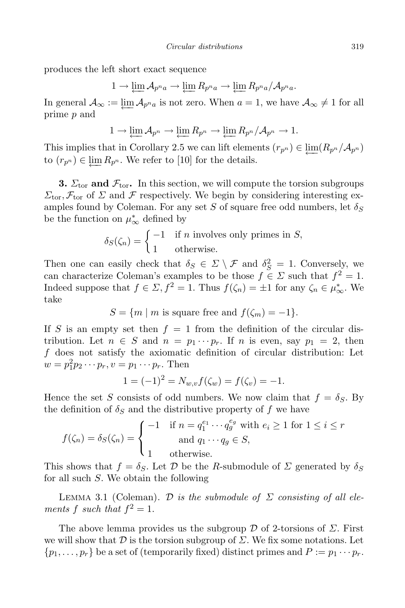produces the left short exact sequence

$$
1 \to \varprojlim \mathcal{A}_{p^n a} \to \varprojlim R_{p^n a} \to \varprojlim R_{p^n a} / \mathcal{A}_{p^n a}.
$$

In general  $\mathcal{A}_{\infty} := \varprojlim \mathcal{A}_{p^n a}$  is not zero. When  $a = 1$ , we have  $\mathcal{A}_{\infty} \neq 1$  for all prime *n* and prime p and

$$
1 \to \varprojlim \mathcal{A}_{p^n} \to \varprojlim R_{p^n} \to \varprojlim R_{p^n} / \mathcal{A}_{p^n} \to 1.
$$

This implies that in Corollary 2.5 we can lift elements  $(r_{p^n}) \in \varprojlim(R_{p^n}/A_{p^n})$ <br>to  $(r_{\infty}) \in \varprojlim R_{\infty}$ . We refer to [10] for the details to  $(r_{p^n}) \in \varprojlim R_{p^n}$ . We refer to [10] for the details.

**3.**  $\Sigma_{\text{tor}}$  and  $\mathcal{F}_{\text{tor}}$ . In this section, we will compute the torsion subgroups  $\Sigma_{\text{tor}}$ ,  $\mathcal{F}_{\text{tor}}$  of  $\Sigma$  and  $\mathcal F$  respectively. We begin by considering interesting examples found by Coleman. For any set S of square free odd numbers, let  $\delta_S$ be the function on  $\mu^*_{\infty}$  defined by

$$
\delta_S(\zeta_n) = \begin{cases}\n-1 & \text{if } n \text{ involves only primes in } S, \\
1 & \text{otherwise.} \n\end{cases}
$$

Then one can easily check that  $\delta_S \in \Sigma \setminus \mathcal{F}$  and  $\delta_S^2 = 1$ . Conversely, we can characterize Coleman's examples to be those  $f \in \Sigma$  such that  $f^2 = 1$ . Indeed suppose that  $f \in \Sigma$ ,  $f^2 = 1$ . Thus  $f(\zeta_n) = \pm 1$  for any  $\zeta_n \in \mu^*_{\infty}$ . We take

$$
S = \{m \mid m \text{ is square free and } f(\zeta_m) = -1\}.
$$

If S is an empty set then  $f = 1$  from the definition of the circular distribution. Let  $n \in S$  and  $n = p_1 \cdots p_r$ . If n is even, say  $p_1 = 2$ , then f does not satisfy the axiomatic definition of circular distribution: Let  $w = p_1^2 p_2 \cdots p_r, v = p_1 \cdots p_r.$  Then

$$
1 = (-1)^{2} = N_{w,v} f(\zeta_{w}) = f(\zeta_{v}) = -1.
$$

Hence the set S consists of odd numbers. We now claim that  $f = \delta_S$ . By the definition of  $\delta_S$  and the distributive property of f we have

$$
f(\zeta_n) = \delta_S(\zeta_n) = \begin{cases} -1 & \text{if } n = q_1^{e_1} \cdots q_g^{e_g} \text{ with } e_i \ge 1 \text{ for } 1 \le i \le r \\ & \text{and } q_1 \cdots q_g \in S, \\ 1 & \text{otherwise.} \end{cases}
$$

This shows that  $f = \delta_S$ . Let  $\mathcal D$  be the R-submodule of  $\Sigma$  generated by  $\delta_S$ for all such S. We obtain the following

LEMMA 3.1 (Coleman). D is the submodule of  $\Sigma$  consisting of all elements f such that  $f^2 = 1$ .

The above lemma provides us the subgroup  $\mathcal D$  of 2-torsions of  $\Sigma$ . First we will show that D is the torsion subgroup of  $\Sigma$ . We fix some notations. Let  $\{p_1, \ldots, p_r\}$  be a set of (temporarily fixed) distinct primes and  $P := p_1 \cdots p_r$ .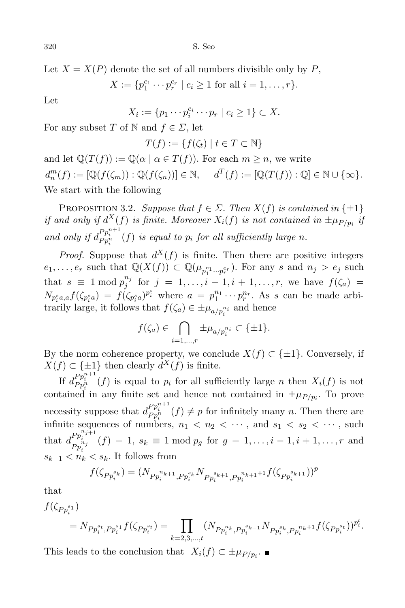Let  $X = X(P)$  denote the set of all numbers divisible only by P,

 $X := \{p_1^{c_1} \cdots p_r^{c_r} \mid c_i \ge 1 \text{ for all } i = 1, \ldots, r\}.$ 

Let

 $X_i := \{ p_1 \cdots p_i^{c_i} \cdots p_r \mid c_i \geq 1 \} \subset X.$ 

For any subset T of N and  $f \in \Sigma$ , let

$$
T(f) := \{ f(\zeta_t) \mid t \in T \subset \mathbb{N} \}
$$

and let  $\mathbb{Q}(T(f)) := \mathbb{Q}(\alpha \mid \alpha \in T(f))$ . For each  $m \geq n$ , we write  $d_n^m(f) := [\mathbb{Q}(f(\zeta_m)) : \mathbb{Q}(f(\zeta_n))] \in \mathbb{N}, \quad d^T(f) := [\mathbb{Q}(T(f)) : \mathbb{Q}] \in \mathbb{N} \cup \{\infty\}.$ We start with the following

PROPOSITION 3.2. Suppose that  $f \in \Sigma$ . Then  $X(f)$  is contained in  $\{\pm 1\}$ if and only if  $d^X(f)$  is finite. Moreover  $X_i(f)$  is not contained in  $\pm \mu_{P/p_i}$  if and only if  $d_{P_{p_i}^{n}}^{P_{p_i^{n+1}}}(f)$  is equal to  $p_i$  for all sufficiently large n.

*Proof.* Suppose that  $d^{X}(f)$  is finite. Then there are positive integers  $e_1, \ldots, e_r$  such that  $\mathbb{Q}(X(f)) \subset \mathbb{Q}(\mu_{p_1^{e_1} \cdots p_r^{e_r}})$ . For any s and  $n_j > e_j$  such that  $s \equiv 1 \mod p_j^{n_j}$  for  $j = 1, ..., i$  $f_j^{n_j}$  for  $j = 1, ..., i - 1, i + 1, ..., r$ , we have  $f(\zeta_a) =$  $N_{p_i^s a,a} f(\zeta_{p_i^s a}) = f(\zeta_{p_i^s a})^{p_i^s}$  where  $a = p_1^{n_1} \cdots p_r^{n_r}$ . As s can be made arbitrarily large, it follows that  $f(\zeta_a) \in \pm \mu_{a/p_i^{n_i}}$  and hence

$$
f(\zeta_a) \in \bigcap_{i=1,\ldots,r} \pm \mu_{a/p_i^{n_i}} \subset \{\pm 1\}.
$$

By the norm coherence property, we conclude  $X(f) \subset \{\pm 1\}$ . Conversely, if  $X(f) \subset \{\pm 1\}$  then clearly  $d^X(f)$  is finite.

If  $d_{P_{p_i^n}^{n+1}}^{P_{p_i^n}^{n+1}}(f)$  is equal to  $p_i$  for all sufficiently large *n* then  $X_i(f)$  is not contained in any finite set and hence not contained in  $\pm \mu_{P/p_i}$ . To prove necessity suppose that  $d_{P_{p_i^n}}^{P_{p_i^{n+1}}}(f) \neq p$  for infinitely many n. Then there are infinite sequences of numbers,  $n_1 < n_2 < \cdots$ , and  $s_1 < s_2 < \cdots$ , such that  $d_{p_{i}n_{j}}^{Pp_{i}^{n_{j+1}}}$  $P_{p_i^{n_j}}^{i_{p_i^{n_j}}}$  (f) = 1,  $s_k \equiv 1 \mod p_g$  for  $g = 1, ..., i-1, i+1, ..., r$  and  $s_{k-1} < n_k < s_k$ . It follows from

$$
f(\zeta_{P p_i^{s_k}}) = (N_{P p_i^{n_{k+1}}, P p_i^{s_k}} N_{P p_i^{s_{k+1}}, P p_i^{n_{k+1}+1}} f(\zeta_{P p_i^{s_{k+1}}}))^p
$$

that

$$
f(\zeta_{P p_i^{s_1}})
$$
  
=  $N_{P p_i^{s_t}, P p_i^{s_1}} f(\zeta_{P p_i^{s_t}}) = \prod_{k=2,3,\dots,t} (N_{P p_i^{n_k}, P p_i^{s_{k-1}}} N_{P p_i^{s_k}, P p_i^{n_k+1}} f(\zeta_{P p_i^{s_t}}))^{p_i^{t_i}}$ .

This leads to the conclusion that  $X_i(f) \subset \pm \mu_{P/p_i}$ .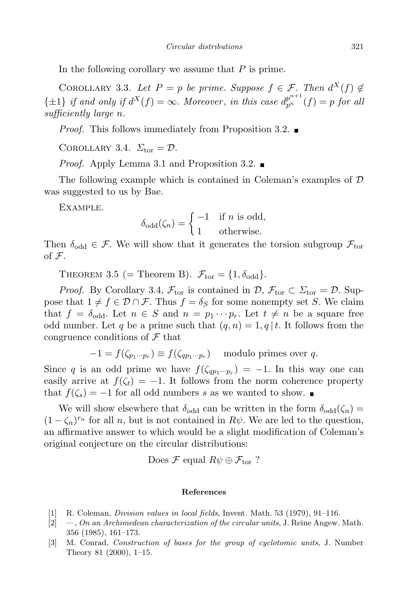In the following corollary we assume that  $P$  is prime.

COROLLARY 3.3. Let  $P = p$  be prime. Suppose  $f \in \mathcal{F}$ . Then  $d^X(f) \notin$  $\{\pm 1\}$  if and only if  $d^X(f) = \infty$ . Moreover, in this case  $d_{p^n}^{p^{n+1}}(f) = p$  for all sufficiently large n.

*Proof.* This follows immediately from Proposition 3.2.  $\blacksquare$ 

COROLLARY 3.4.  $\Sigma_{\text{tor}} = \mathcal{D}$ .

*Proof.* Apply Lemma 3.1 and Proposition 3.2.

The following example which is contained in Coleman's examples of D was suggested to us by Bae.

Example.

$$
\delta_{\text{odd}}(\zeta_n) = \begin{cases} -1 & \text{if } n \text{ is odd,} \\ 1 & \text{otherwise.} \end{cases}
$$

Then  $\delta_{odd} \in \mathcal{F}$ . We will show that it generates the torsion subgroup  $\mathcal{F}_{\text{tor}}$ of F.

THEOREM 3.5 (= Theorem B).  $\mathcal{F}_{\text{tor}} = \{1, \delta_{\text{odd}}\}.$ 

*Proof.* By Corollary 3.4,  $\mathcal{F}_{\text{tor}}$  is contained in  $\mathcal{D}, \mathcal{F}_{\text{tor}} \subset \Sigma_{\text{tor}} = \mathcal{D}$ . Suppose that  $1 \neq f \in \mathcal{D} \cap \mathcal{F}$ . Thus  $f = \delta_S$  for some nonempty set S. We claim that  $f = \delta_{odd}$ . Let  $n \in S$  and  $n = p_1 \cdots p_r$ . Let  $t \neq n$  be a square free odd number. Let q be a prime such that  $(q, n) = 1, q | t$ . It follows from the congruence conditions of  $\mathcal F$  that

$$
-1 = f(\zeta_{p_1 \cdots p_r}) \equiv f(\zeta_{qp_1 \cdots p_r}) \quad \text{modulo primes over } q.
$$

Since q is an odd prime we have  $f(\zeta_{qp_1\cdots p_r}) = -1$ . In this way one can easily arrive at  $f(\zeta_t) = -1$ . It follows from the norm coherence property that  $f(\zeta_s) = -1$  for all odd numbers s as we wanted to show.

We will show elsewhere that  $\delta_{odd}$  can be written in the form  $\delta_{odd}(\zeta_n)$  =  $(1 - \zeta_n)^{r_n}$  for all n, but is not contained in  $R\psi$ . We are led to the question, an affirmative answer to which would be a slight modification of Coleman's original conjecture on the circular distributions:

Does  $\mathcal F$  equal  $R\psi \oplus \mathcal F_{\rm tor}$ ?

## References

- [1] R. Coleman, Division values in local fields, Invent. Math. 53 (1979), 91–116.
- $[2] \quad -$ , On an Archimedean characterization of the circular units, J. Reine Angew. Math. 356 (1985), 161–173.
- [3] M. Conrad, Construction of bases for the group of cyclotomic units, J. Number Theory 81 (2000), 1–15.